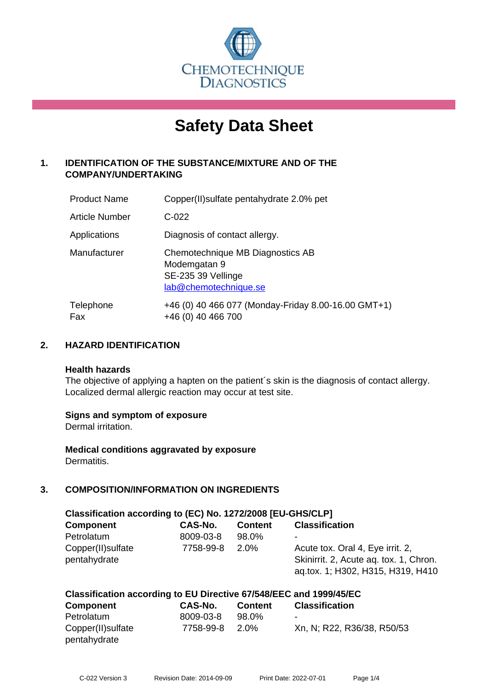

# **Safety Data Sheet**

# **1. IDENTIFICATION OF THE SUBSTANCE/MIXTURE AND OF THE COMPANY/UNDERTAKING**

| <b>Product Name</b> | Copper(II) sulfate pentahy drate 2.0% pet                                                       |
|---------------------|-------------------------------------------------------------------------------------------------|
| Article Number      | $C-022$                                                                                         |
| Applications        | Diagnosis of contact allergy.                                                                   |
| Manufacturer        | Chemotechnique MB Diagnostics AB<br>Modemgatan 9<br>SE-235 39 Vellinge<br>lab@chemotechnique.se |
| Telephone<br>Fax    | +46 (0) 40 466 077 (Monday-Friday 8.00-16.00 GMT+1)<br>+46 (0) 40 466 700                       |

#### **2. HAZARD IDENTIFICATION**

#### **Health hazards**

The objective of applying a hapten on the patient's skin is the diagnosis of contact allergy. Localized dermal allergic reaction may occur at test site.

#### **Signs and symptom of exposure**

Dermal irritation.

**Medical conditions aggravated by exposure** Dermatitis.

# **3. COMPOSITION/INFORMATION ON INGREDIENTS**

| Classification according to (EC) No. 1272/2008 [EU-GHS/CLP] |                |                |                                                                                                                 |  |
|-------------------------------------------------------------|----------------|----------------|-----------------------------------------------------------------------------------------------------------------|--|
| <b>Component</b>                                            | <b>CAS-No.</b> | <b>Content</b> | <b>Classification</b>                                                                                           |  |
| Petrolatum                                                  | 8009-03-8      | 98.0%          | -                                                                                                               |  |
| Copper(II) sulfate<br>pentahydrate                          | 7758-99-8      | 2.0%           | Acute tox. Oral 4, Eye irrit. 2,<br>Skinirrit. 2, Acute ag. tox. 1, Chron.<br>ag.tox. 1; H302, H315, H319, H410 |  |

#### **Classification according to EU Directive 67/548/EEC and 1999/45/EC**

| <b>Component</b>   | CAS-No.   | <b>Content</b> | <b>Classification</b>      |
|--------------------|-----------|----------------|----------------------------|
| Petrolatum         | 8009-03-8 | 98.0%          | ۰                          |
| Copper(II) sulfate | 7758-99-8 | 2.0%           | Xn, N; R22, R36/38, R50/53 |
| pentahydrate       |           |                |                            |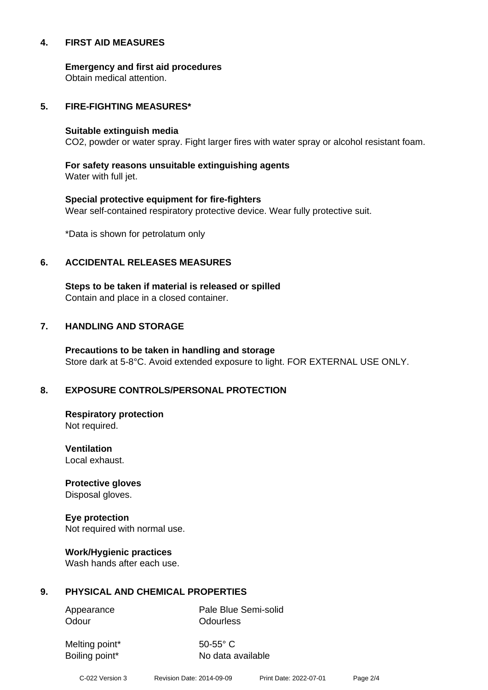#### **4. FIRST AID MEASURES**

**Emergency and first aid procedures**

Obtain medical attention.

#### **5. FIRE-FIGHTING MEASURES\***

#### **Suitable extinguish media**

CO2, powder or water spray. Fight larger fires with water spray or alcohol resistant foam.

# **For safety reasons unsuitable extinguishing agents**

Water with full jet.

# **Special protective equipment for fire-fighters** Wear self-contained respiratory protective device. Wear fully protective suit.

\*Data is shown for petrolatum only

#### **6. ACCIDENTAL RELEASES MEASURES**

**Steps to be taken if material is released or spilled** Contain and place in a closed container.

# **7. HANDLING AND STORAGE**

**Precautions to be taken in handling and storage** Store dark at 5-8°C. Avoid extended exposure to light. FOR EXTERNAL USE ONLY.

# **8. EXPOSURE CONTROLS/PERSONAL PROTECTION**

**Respiratory protection** Not required.

**Ventilation** Local exhaust.

**Protective gloves** Disposal gloves.

# **Eye protection**

Not required with normal use.

#### **Work/Hygienic practices**

Wash hands after each use.

#### **9. PHYSICAL AND CHEMICAL PROPERTIES**

Odour **Odourless** 

Appearance Pale Blue Semi-solid

Melting point\* 50-55° C

Boiling point\* No data available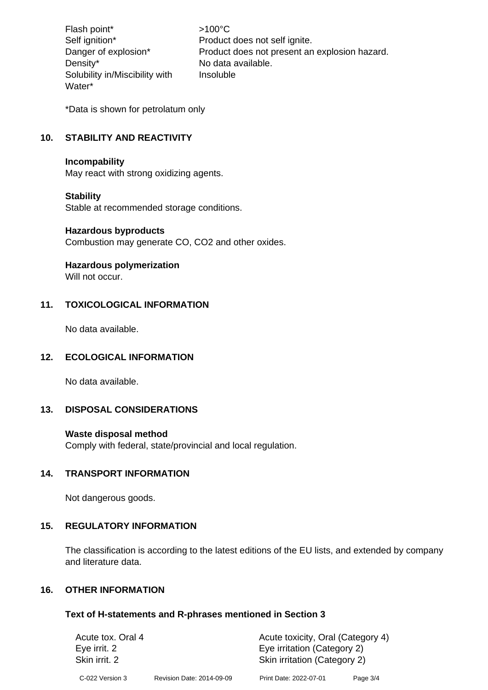Flash point\*  $>100^{\circ}$ C Density\* No data available. Solubility in/Miscibility with Water\*

Self ignition\* Product does not self ignite. Danger of explosion\* Product does not present an explosion hazard. Insoluble

\*Data is shown for petrolatum only

# **10. STABILITY AND REACTIVITY**

#### **Incompability**

May react with strong oxidizing agents.

#### **Stability**

Stable at recommended storage conditions.

#### **Hazardous byproducts**

Combustion may generate CO, CO2 and other oxides.

#### **Hazardous polymerization**

Will not occur.

#### **11. TOXICOLOGICAL INFORMATION**

No data available.

#### **12. ECOLOGICAL INFORMATION**

No data available.

# **13. DISPOSAL CONSIDERATIONS**

#### **Waste disposal method**

Comply with federal, state/provincial and local regulation.

#### **14. TRANSPORT INFORMATION**

Not dangerous goods.

#### **15. REGULATORY INFORMATION**

The classification is according to the latest editions of the EU lists, and extended by company and literature data.

#### **16. OTHER INFORMATION**

#### **Text of H-statements and R-phrases mentioned in Section 3**

| Acute tox. Oral 4 |                           | Acute toxicity, Oral (Category 4) |            |  |
|-------------------|---------------------------|-----------------------------------|------------|--|
| Eye irrit. 2      |                           | Eye irritation (Category 2)       |            |  |
| Skin irrit. 2     |                           | Skin irritation (Category 2)      |            |  |
| C-022 Version 3   | Revision Date: 2014-09-09 | Print Date: 2022-07-01            | Page $3/4$ |  |